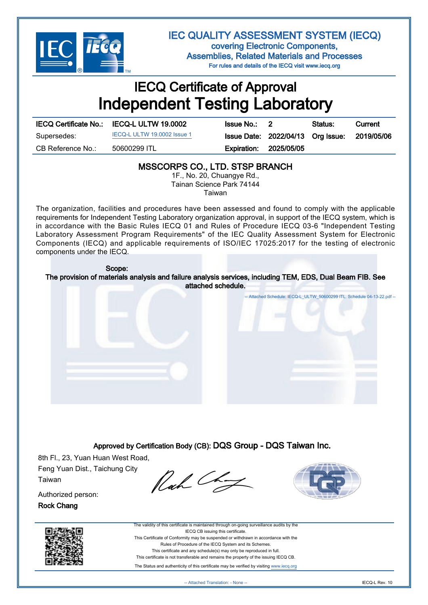

IEC QUALITY ASSESSMENT SYSTEM (IECQ) covering Electronic Components, Assemblies, Related Materials and Processes For rules and details of the IECQ visit www.iecq.org

## IECQ Certificate of Approval Independent Testing Laboratory

|                   | IECQ Certificate No.: IECQ-L ULTW 19.0002 | <b>Issue No.: 2</b> |                                   | Status: | Current    |
|-------------------|-------------------------------------------|---------------------|-----------------------------------|---------|------------|
| Supersedes:       | IECQ-L ULTW 19.0002 Issue 1               |                     | Issue Date: 2022/04/13 Org Issue: |         | 2019/05/06 |
| CB Reference No.: | 50600299 ITL                              | Expiration:         | 2025/05/05                        |         |            |
|                   |                                           |                     |                                   |         |            |

#### MSSCORPS CO., LTD. STSP BRANCH

1F., No. 20, Chuangye Rd., Tainan Science Park 74144 Taiwan

The organization, facilities and procedures have been assessed and found to comply with the applicable requirements for Independent Testing Laboratory organization approval, in support of the IECQ system, which is in accordance with the Basic Rules IECQ 01 and Rules of Procedure IECQ 03-6 "Independent Testing Laboratory Assessment Program Requirements" of the IEC Quality Assessment System for Electronic Components (IECQ) and applicable requirements of ISO/IEC 17025:2017 for the testing of electronic components under the IECQ.

# Attached Schedule: [IECQ-L\\_ULTW\\_50600299 ITL. Schedule 04-13-22.pdf](http://certificates.iecq.org/IECQ/IECQweb.nsf/0/6A8F21E157B4E018C12588280002F8F9/$File/IECQ-L_ULTW_50600299%20ITL.%20Schedule%2004-13-22.pdf) -- Scope: The provision of materials analysis and failure analysis services, including TEM, EDS, Dual Beam FIB. See attached schedule.

Approved by Certification Body (CB): DQS Group - DQS Taiwan Inc.

8th Fl., 23, Yuan Huan West Road, Feng Yuan Dist., Taichung City Taiwan

Rach Chat



Authorized person: Rock Chang





The Status and authenticity of this certificate may be verified by visiting [www.iecq.org](http://www.iecq.org)

-- Attached Translation: - None -- IECQ-L Rev. 10